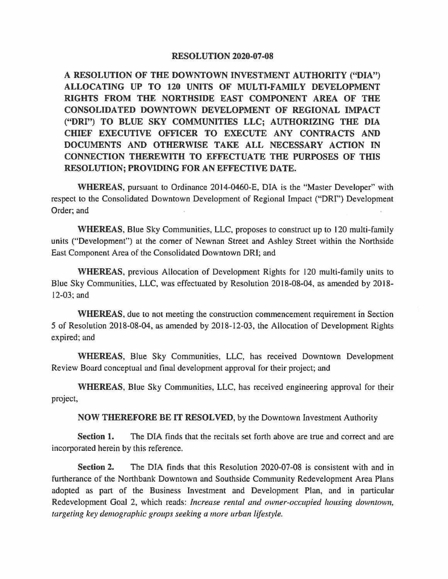## **RESOLUTION 2020-07-08**

**A RESOLUTION OF THE DOWNTOWN INVESTMENT AUTHORITY ("DIA") ALLOCATING UP TO 120 UNITS OF MULTI-FAMILY DEVELOPMENT RIGHTS FROM THE NORTHSIDE EAST COMPONENT AREA OF THE CONSOLIDATED DOWNTOWN DEVELOPMENT OF REGIONAL IMPACT ("ORI") TO BLUE SKY COMMUNITIES LLC; AUTHORIZING THE DIA CHIEF EXECUTIVE OFFICER TO EXECUTE ANY CONTRACTS AND DOCUMENTS AND OTHERWISE TAKE ALL NECESSARY ACTION IN CONNECTION THEREWITH TO EFFECTUATE THE PURPOSES OF THIS RESOLUTION; PROVIDING FOR AN EFFECTIVE DATE.** 

**WHEREAS,** pursuant to Ordinance 2014-0460-E, DIA is the "Master Developer" with respect to the Consolidated Downtown Development of Regional Impact **("ORI")** Development Order; and

**WHEREAS,** Blue Sky Communities, LLC, proposes to construct up to 120 multi-family units ("Development") at the corner of Newnan Street and Ashley Street within the Northside East Component Area of the Consolidated Downtown ORI; and

**WHEREAS,** previous Allocation of Development Rights for 120 multi-family units to Blue Sky Communities, LLC, was effectuated by Resolution 2018-08-04, as amended by 2018- 12-03; and

**WHEREAS,** due to not meeting the construction commencement requirement in Section 5 of Resolution 2018-08-04, as amended by 2018-12-03, the Allocation of Development Rights expired; and

**WHEREAS,** Blue Sky Communities, LLC, has received Downtown Development Review Board conceptual and final development approval for their project; and

**WHEREAS,** Blue Sky Communities, LLC, has received engineering approval for their project,

**NOW THEREFORE BE IT RESOLVED,** by the Downtown Investment Authority

**Section 1.** The DIA finds that the recitals set forth above are true and correct and are incorporated herein by this reference.

**Section 2.** The DIA finds that this Resolution 2020-07-08 is consistent with and in furtherance of the Northbank Downtown and Southside Community Redevelopment Area Plans adopted as part of the Business Investment and Development Plan, and in particular Redevelopment Goal 2, which reads: *Increase rental and owner-occupied housing downtown*, *targeting key demographic groups seeking a more urban lifestyle.*